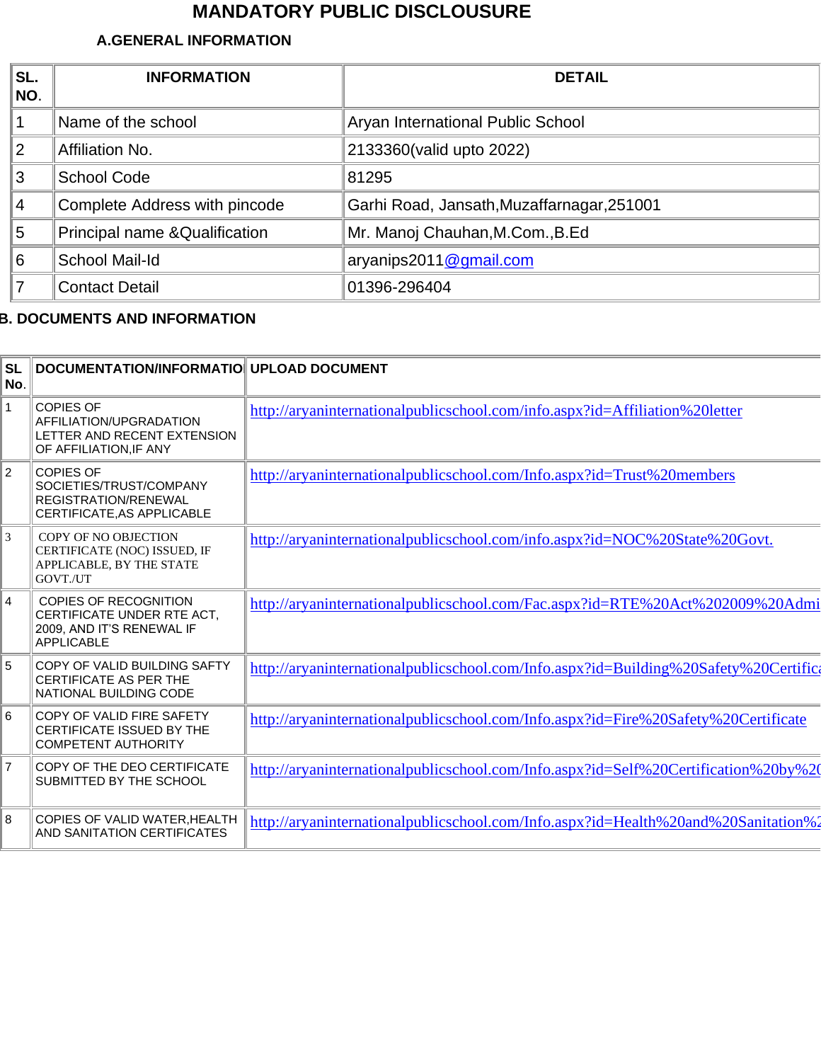## **MANDATORY PUBLIC DISCLOUSURE**

## **A.GENERAL INFORMATION**

| SL.<br>NO. | <b>INFORMATION</b>             | <b>DETAIL</b>                              |
|------------|--------------------------------|--------------------------------------------|
|            | Name of the school             | Aryan International Public School          |
| 2          | Affiliation No.                | 2133360(valid upto 2022)                   |
| 3          | <b>School Code</b>             | 81295                                      |
| 4          | Complete Address with pincode  | Garhi Road, Jansath, Muzaffarnagar, 251001 |
| 5          | Principal name & Qualification | Mr. Manoj Chauhan, M.Com., B.Ed            |
| 6          | School Mail-Id                 | aryanips2011@gmail.com                     |
|            | <b>Contact Detail</b>          | 01396-296404                               |

## **B. DOCUMENTS AND INFORMATION**

| <b>SL</b><br>No. | DOCUMENTATION/INFORMATIO UPLOAD DOCUMENT                                                                     |                                                                                      |
|------------------|--------------------------------------------------------------------------------------------------------------|--------------------------------------------------------------------------------------|
| $\mathbf{1}$     | <b>COPIES OF</b><br>AFFILIATION/UPGRADATION<br>LETTER AND RECENT EXTENSION<br>OF AFFILIATION, IF ANY         | http://aryaninternationalpublicschool.com/info.aspx?id=Affiliation%20letter          |
| $\overline{c}$   | <b>COPIES OF</b><br>SOCIETIES/TRUST/COMPANY<br>REGISTRATION/RENEWAL<br>CERTIFICATE.AS APPLICABLE             | http://aryaninternationalpublicschool.com/Info.aspx?id=Trust%20members               |
| 3                | COPY OF NO OBJECTION<br>CERTIFICATE (NOC) ISSUED, IF<br>APPLICABLE, BY THE STATE<br>GOVT./UT                 | http://aryaninternationalpublicschool.com/info.aspx?id=NOC%20State%20Govt.           |
| 4                | <b>COPIES OF RECOGNITION</b><br>CERTIFICATE UNDER RTE ACT,<br>2009, AND IT'S RENEWAL IF<br><b>APPLICABLE</b> | http://aryaninternationalpublicschool.com/Fac.aspx?id=RTE%20Act%202009%20Admi        |
| 5                | COPY OF VALID BUILDING SAFTY<br><b>CERTIFICATE AS PER THE</b><br>NATIONAL BUILDING CODE                      | http://aryaninternationalpublicschool.com/Info.aspx?id=Building%20Safety%20Certifica |
| 6                | COPY OF VALID FIRE SAFETY<br>CERTIFICATE ISSUED BY THE<br><b>COMPETENT AUTHORITY</b>                         | http://aryaninternationalpublicschool.com/Info.aspx?id=Fire%20Safety%20Certificate   |
| 7                | COPY OF THE DEO CERTIFICATE<br>SUBMITTED BY THE SCHOOL                                                       | http://aryaninternationalpublicschool.com/Info.aspx?id=Self%20Certification%20by%20  |
| 8                | COPIES OF VALID WATER, HEALTH<br>AND SANITATION CERTIFICATES                                                 | http://aryaninternationalpublicschool.com/Info.aspx?id=Health%20and%20Sanitation%2   |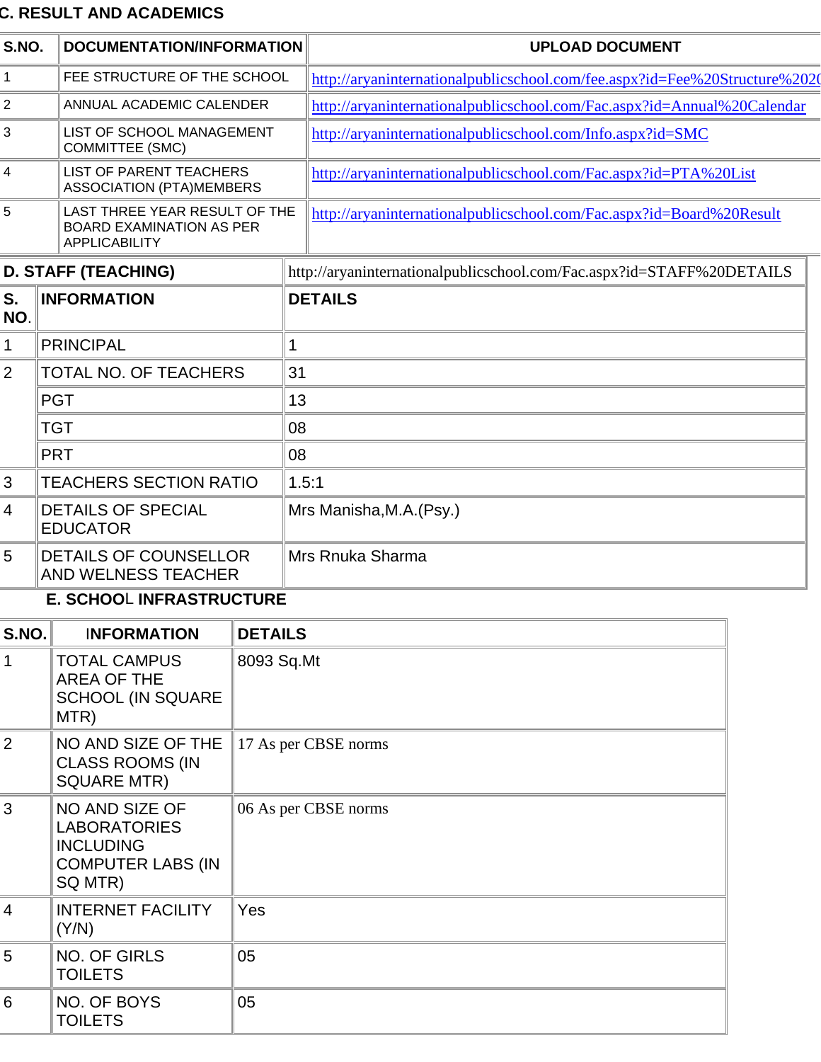## **C. RESULT AND ACADEMICS**

| S.NO.                      | DOCUMENTATION/INFORMATION                                                                        |                      | <b>UPLOAD DOCUMENT</b>                                                     |  |  |
|----------------------------|--------------------------------------------------------------------------------------------------|----------------------|----------------------------------------------------------------------------|--|--|
| $\mathbf{1}$               | FEE STRUCTURE OF THE SCHOOL                                                                      |                      | http://aryaninternationalpublicschool.com/fee.aspx?id=Fee%20Structure%2020 |  |  |
| $\overline{2}$             | ANNUAL ACADEMIC CALENDER                                                                         |                      | http://aryaninternationalpublicschool.com/Fac.aspx?id=Annual%20Calendar    |  |  |
| 3                          | LIST OF SCHOOL MANAGEMENT<br><b>COMMITTEE (SMC)</b>                                              |                      | http://aryaninternationalpublicschool.com/Info.aspx?id=SMC                 |  |  |
| 4                          | <b>LIST OF PARENT TEACHERS</b><br><b>ASSOCIATION (PTA)MEMBERS</b>                                |                      | http://aryaninternationalpublicschool.com/Fac.aspx?id=PTA%20List           |  |  |
| 5                          | LAST THREE YEAR RESULT OF THE<br><b>BOARD EXAMINATION AS PER</b><br><b>APPLICABILITY</b>         |                      | http://aryaninternationalpublicschool.com/Fac.aspx?id=Board%20Result       |  |  |
| <b>D. STAFF (TEACHING)</b> |                                                                                                  |                      | http://aryaninternationalpublicschool.com/Fac.aspx?id=STAFF%20DETAILS      |  |  |
| S.<br>NO.                  | <b>INFORMATION</b>                                                                               |                      | <b>DETAILS</b>                                                             |  |  |
| 1                          | <b>PRINCIPAL</b>                                                                                 | 1                    |                                                                            |  |  |
| $\overline{2}$             | <b>TOTAL NO. OF TEACHERS</b>                                                                     | 31                   |                                                                            |  |  |
|                            | <b>PGT</b>                                                                                       |                      | 13                                                                         |  |  |
|                            | <b>TGT</b>                                                                                       | 08                   |                                                                            |  |  |
|                            | <b>PRT</b>                                                                                       | 08                   |                                                                            |  |  |
| 3                          | <b>TEACHERS SECTION RATIO</b>                                                                    |                      | 1.5:1                                                                      |  |  |
| 4                          | <b>DETAILS OF SPECIAL</b><br><b>EDUCATOR</b>                                                     |                      | Mrs Manisha, M.A. (Psy.)                                                   |  |  |
| 5                          | <b>DETAILS OF COUNSELLOR</b><br>AND WELNESS TEACHER                                              | Mrs Rnuka Sharma     |                                                                            |  |  |
| E. SCHOOL INFRASTRUCTURE   |                                                                                                  |                      |                                                                            |  |  |
| S.NO.                      | <b>INFORMATION</b>                                                                               | <b>DETAILS</b>       |                                                                            |  |  |
| $\mathbf 1$                | <b>TOTAL CAMPUS</b><br><b>AREA OF THE</b><br><b>SCHOOL (IN SQUARE</b><br>MTR)                    | 8093 Sq.Mt           |                                                                            |  |  |
| $\overline{2}$             | NO AND SIZE OF THE<br><b>CLASS ROOMS (IN</b><br><b>SQUARE MTR)</b>                               | 17 As per CBSE norms |                                                                            |  |  |
| 3                          | NO AND SIZE OF<br><b>LABORATORIES</b><br><b>INCLUDING</b><br><b>COMPUTER LABS (IN</b><br>SQ MTR) | 06 As per CBSE norms |                                                                            |  |  |
| $\overline{4}$             | <b>INTERNET FACILITY</b><br>(Y/N)                                                                | Yes                  |                                                                            |  |  |
| 5                          | NO. OF GIRLS<br><b>TOILETS</b>                                                                   | 05                   |                                                                            |  |  |
| 6                          | NO. OF BOYS<br><b>TOILETS</b>                                                                    | 05                   |                                                                            |  |  |